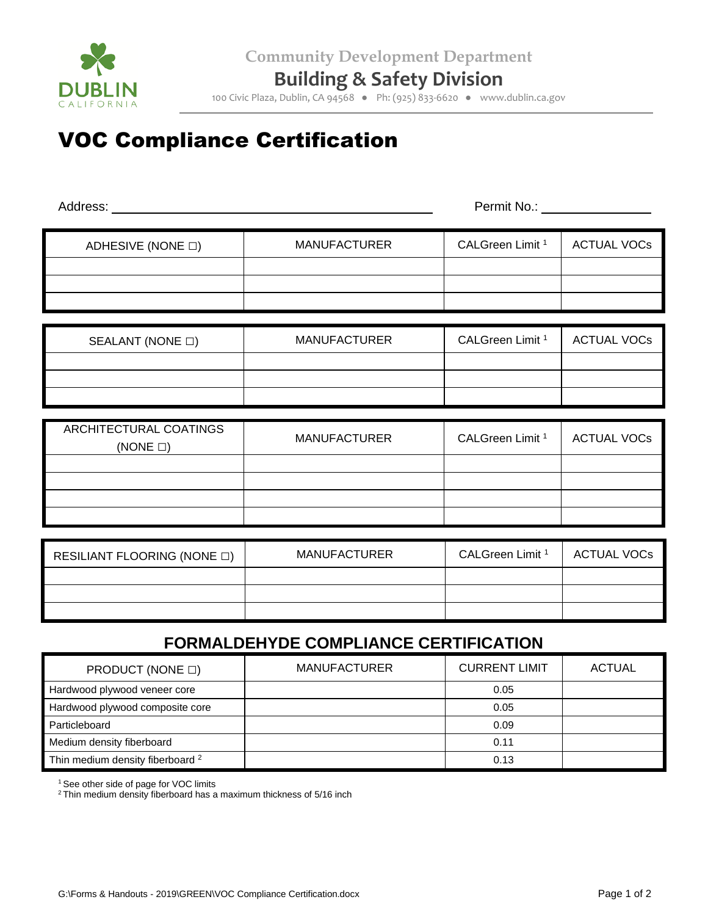

**Building & Safety Division**

100 Civic Plaza, Dublin, CA 94568 ● Ph: (925) 833-6620 ● www.dublin.ca.gov

## VOC Compliance Certification

| Address:                                       |                     | Permit No.: __              |                    |  |  |
|------------------------------------------------|---------------------|-----------------------------|--------------------|--|--|
| ADHESIVE (NONE □)                              | <b>MANUFACTURER</b> | CALGreen Limit <sup>1</sup> | <b>ACTUAL VOCs</b> |  |  |
|                                                |                     |                             |                    |  |  |
| SEALANT (NONE $\square$ )                      | <b>MANUFACTURER</b> | CALGreen Limit <sup>1</sup> | <b>ACTUAL VOCs</b> |  |  |
|                                                |                     |                             |                    |  |  |
| <b>ARCHITECTURAL COATINGS</b><br>$(NONE \Box)$ | <b>MANUFACTURER</b> | CALGreen Limit <sup>1</sup> | <b>ACTUAL VOCs</b> |  |  |
|                                                |                     |                             |                    |  |  |
|                                                |                     |                             |                    |  |  |
| RESILIANT FLOORING (NONE $\square$ )           | <b>MANUFACTURER</b> | CALGreen Limit <sup>1</sup> | <b>ACTUAL VOCs</b> |  |  |
|                                                |                     |                             |                    |  |  |
| <b>FORMALDEHYDE COMPLIANCE CERTIFICATION</b>   |                     |                             |                    |  |  |

| PRODUCT (NONE $\Box$ )                      | <b>MANUFACTURER</b> | <b>CURRENT LIMIT</b> | ACTUAL |
|---------------------------------------------|---------------------|----------------------|--------|
| Hardwood plywood veneer core                |                     | 0.05                 |        |
| Hardwood plywood composite core             |                     | 0.05                 |        |
| Particleboard                               |                     | 0.09                 |        |
| Medium density fiberboard                   |                     | 0.11                 |        |
| Thin medium density fiberboard <sup>2</sup> |                     | 0.13                 |        |

<sup>1</sup> See other side of page for VOC limits

<sup>2</sup> Thin medium density fiberboard has a maximum thickness of 5/16 inch